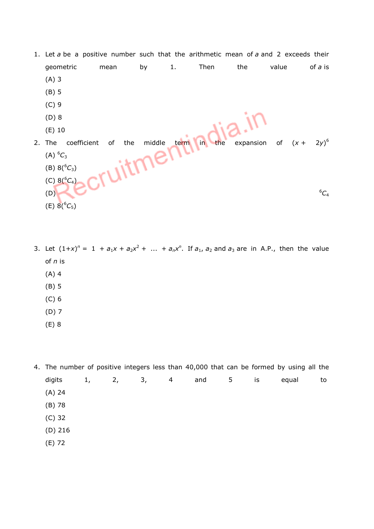- 1. Let  $a$  be a positive number such that the arithmetic mean of  $a$  and 2 exceeds their geometric mean by 1. Then the value of a is (A) 3 (B) 5 (C) 9 (D) 8 (E) 10 2. The coefficient of the middle term in the expansion of  $(x +$ <br>
(A)  ${}^6C_3$ <br>
(B)  $8({}^6C_3)$ <br>
(C)  $8({}^6C_4)$  $2y)^6$  $(A)$ <sup>6</sup>C<sub>3</sub> (B)  $8(^{6}C_{3})$ (C)  $8(^{6}C_{4})$  $(0)$  6 $C_4$ (E)  $8(^{6}C_{5})$
- 3. Let  $(1+x)^n = 1 + a_1x + a_2x^2 + ... + a_nx^n$ . If  $a_1, a_2$  and  $a_3$  are in A.P., then the value of n is (A) 4 (B) 5 (C) 6
	- (D) 7
	- (E) 8

4. The number of positive integers less than 40,000 that can be formed by using all the digits 1, 2, 3, 4 and 5 is equal to (A) 24 (B) 78

- (C) 32
- (D) 216
- (E) 72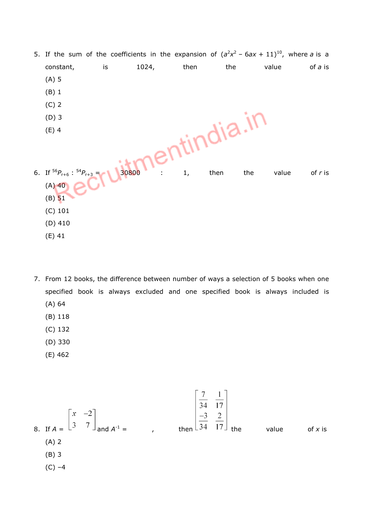|                                           |    |                 |      |           |              | 5. If the sum of the coefficients in the expansion of $(a^2x^2 - 6ax + 11)^{10}$ , where a is a |
|-------------------------------------------|----|-----------------|------|-----------|--------------|-------------------------------------------------------------------------------------------------|
| constant,                                 | is | 1024,           | then | the       | value        | of a is                                                                                         |
| $(A)$ 5                                   |    |                 |      |           |              |                                                                                                 |
| (B) 1                                     |    |                 |      |           |              |                                                                                                 |
| $(C)$ 2                                   |    |                 |      |           |              |                                                                                                 |
| $(D)$ 3                                   |    |                 |      |           |              |                                                                                                 |
| $(E)$ 4                                   |    |                 |      | tindia.II |              |                                                                                                 |
|                                           |    |                 |      |           |              |                                                                                                 |
|                                           |    | le <sub>U</sub> |      |           |              |                                                                                                 |
| 6. If ${}^{56}P_{r+6}$ : ${}^{54}P_{r+3}$ |    | 30800           | 1,   | then      | the<br>value | of $r$ is                                                                                       |
| $(A)$ 40                                  |    |                 |      |           |              |                                                                                                 |
| $(B)$ 51                                  |    |                 |      |           |              |                                                                                                 |
| $(C)$ 101                                 |    |                 |      |           |              |                                                                                                 |
| $(D)$ 410                                 |    |                 |      |           |              |                                                                                                 |
| $(E)$ 41                                  |    |                 |      |           |              |                                                                                                 |

- 7. From 12 books, the difference between number of ways a selection of 5 books when one specified book is always excluded and one specified book is always included is (A) 64
	- (B) 118
	- (C) 132
	- (D) 330
	- (E) 462

8. If 
$$
A = \begin{bmatrix} x & -2 \ 3 & 7 \end{bmatrix}
$$
 and  $A^{-1} =$ , then  $\begin{bmatrix} \frac{7}{34} & \frac{1}{17} \\ \frac{-3}{34} & \frac{2}{17} \end{bmatrix}$  the value of x is  
\n(A) 2  
\n(B) 3  
\n(C) -4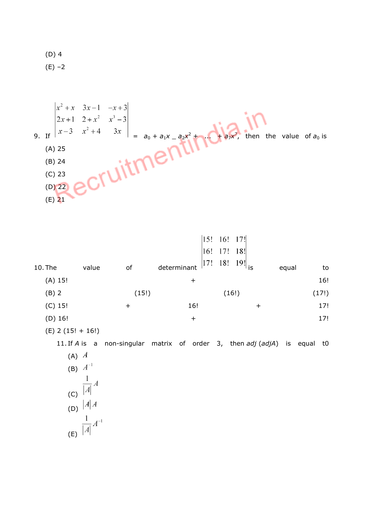(D) 4  $(E) -2$ 



| 10. The   | value               | оf        | 16!<br>17!<br>determinant | $ 15! \t16! \t17!$<br>17!<br>18!<br>18!<br>$\frac{19!}{15}$ | equal | to    |
|-----------|---------------------|-----------|---------------------------|-------------------------------------------------------------|-------|-------|
| $(A)$ 15! |                     |           | $\,{}^+$                  |                                                             |       | 16!   |
| $(B)$ 2   |                     | (15!)     |                           | (16!)                                                       |       | (17!) |
| $(C)$ 15! |                     | $\ddot{}$ | 16!                       | $\bm{+}$                                                    |       | 17!   |
| $(D)$ 16! |                     |           | $\pm$                     |                                                             |       | 17!   |
|           | $(E)$ 2 (15! + 16!) |           |                           |                                                             |       |       |

11. If A is a non-singular matrix of order 3, then  $adj (adj A)$  is equal t0

(A) 
$$
A
$$
  
\n(B)  $A^{-1}$   
\n(C)  $A^{-1}$   
\n(C)  $A \mid A$   
\n(D)  $A \mid A$   
\n(E)  $A^{-1}$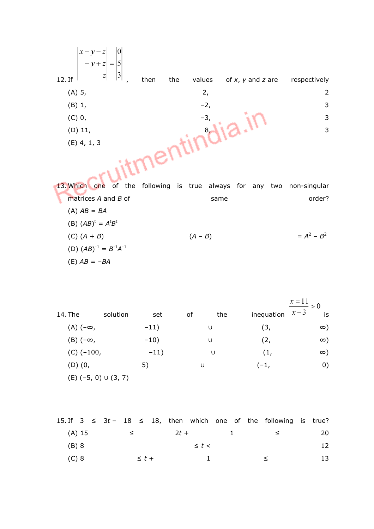| $ x-y-z$<br>$-y+z$<br>$=$ | 10<br>5                |               |                          |                |
|---------------------------|------------------------|---------------|--------------------------|----------------|
| $\mathbb{Z}$<br>12. If    | $\mathfrak{Z}$<br>then | the<br>values | of $x$ , $y$ and $z$ are | respectively   |
| (A) 5,                    |                        | 2,            |                          | $\overline{2}$ |
| $(B)$ 1,                  |                        | $-2,$         |                          | 3              |
| $(C)$ 0,                  |                        | $-3,$         |                          | 3              |
| $(D)$ 11,                 |                        | 8,            |                          | 3              |
| $(E)$ 4, 1, 3             |                        |               |                          |                |
|                           |                        |               |                          |                |

13. Which one of the following is true always for any two non-singular matrices  $A$  and  $B$  of same same order?  $(A) AB = BA$ (B)  $(AB)^t = A^t B^t$ (C)  $(A + B)$   $(A - B)$  $2 - B^2$ (D)  $(AB)^{-1} = B^{-1}A^{-1}$ (E)  $AB = -BA$ 

|                   |                             |        |    |     |            | $\frac{x=11}{ } > 0$ |
|-------------------|-----------------------------|--------|----|-----|------------|----------------------|
| 14. The           | solution                    | set    | of | the | inequation | $x-3$<br>is          |
| $(A)$ $(-\infty,$ |                             | $-11)$ |    | U   | (3,        | $\infty)$            |
| $(B)$ $(-\infty,$ |                             | $-10)$ |    | U   | (2,        | $\infty)$            |
| $(C)$ (-100,      |                             | $-11)$ |    | U   | (1,        | $\infty)$            |
| $(D)$ $(0,$       |                             | 5)     | U  |     | $(-1,$     | 0)                   |
|                   | $(E)$ (-5, 0) $\cup$ (3, 7) |        |    |     |            |                      |

|         |  |                 |            |  |                 |  | 15. If $3 \leq 3t - 18 \leq 18$ , then which one of the following is true?                                                                                                                                                                                         |      |
|---------|--|-----------------|------------|--|-----------------|--|--------------------------------------------------------------------------------------------------------------------------------------------------------------------------------------------------------------------------------------------------------------------|------|
|         |  | $(A)$ 15 $\leq$ |            |  | $2t + 1$        |  | $\leq$ $\leq$ $\leq$ $\leq$ $\leq$ $\leq$ $\leq$ $\leq$ $\leq$ $\leq$ $\leq$ $\leq$ $\leq$ $\leq$ $\leq$ $\leq$ $\leq$ $\leq$ $\leq$ $\leq$ $\leq$ $\leq$ $\leq$ $\leq$ $\leq$ $\leq$ $\leq$ $\leq$ $\leq$ $\leq$ $\leq$ $\leq$ $\leq$ $\leq$ $\leq$ $\leq$ $\leq$ | -20- |
| $(B)$ 8 |  |                 |            |  | $\leq t$ $\leq$ |  |                                                                                                                                                                                                                                                                    |      |
| $(C)$ 8 |  |                 | $\leq t +$ |  | $\blacksquare$  |  |                                                                                                                                                                                                                                                                    | 13.  |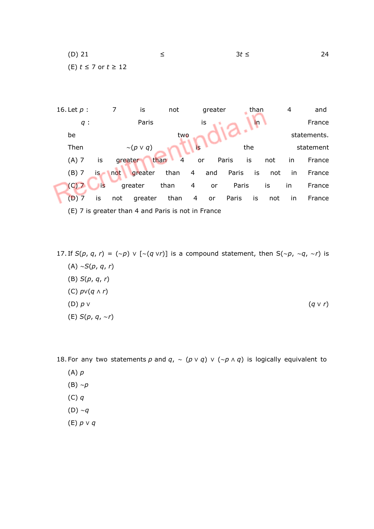(D) 21 ≤ 3*t* ≤ 24 (E)  $t \le 7$  or  $t \ge 12$ 



17. If  $S(p, q, r) = (\sim p) \vee [\sim (q \vee r)]$  is a compound statement, then  $S(\sim p, \sim q, \sim r)$  is (A) ∼S(p, q, r) (B) S(p, q, r) (C) p∨(q ∧ r) (D)  $p \vee$  (q ∨ r) (E) S(p, q, ∼r)

18. For any two statements p and  $q$ , ~ (p v q) v (~p  $\land$  q) is logically equivalent to

- $(A)$   $p$
- (B) ∼p
- $(C)$  q
- (D) ∼q
- (E) p ∨ q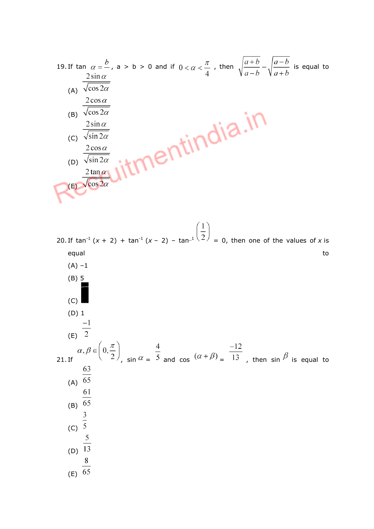19. If 
$$
\tan \alpha = \frac{b}{c}
$$
,  $a > b > 0$  and if  $0 < \alpha < \frac{\pi}{4}$ , then  $\sqrt{\frac{a+b}{a-b}} - \sqrt{\frac{a-b}{a+b}}$  is equal to   
\n $\frac{2 \sin \alpha}{\sqrt{\cos 2\alpha}}$   
\n(B)  $\frac{2 \cos \alpha}{\sqrt{\cos 2\alpha}}$   
\n(C)  $\frac{2 \sin \alpha}{\sqrt{\sin 2\alpha}}$   
\n(D)  $\frac{2 \tan \alpha}{\sqrt{\sin 2\alpha}}$ 

20. If tan<sup>-1</sup> (x + 2) + tan<sup>-1</sup> (x - 2) - tan<sup>-1</sup>  $\left(\frac{1}{2}\right)$  = 0, then one of the values of x is equal to the control of the control of the control of the control of the control of the control of the control of the control of the control of the control of the control of the control of the control of the control of the  $(A) -1$ (B) 5 (C) (D) 1 (E)  $\frac{-1}{2}$  $\alpha, \beta \in \left(0, \frac{\pi}{2}\right)$ ,  $\sin \alpha = \frac{4}{5}$  and  $\cos (\alpha + \beta) = \frac{-12}{13}$ , then  $\sin \beta$  is equal to (A)  $\frac{63}{65}$ (B)  $\frac{61}{65}$  $rac{3}{5}$ (D)  $\frac{5}{13}$  $8\,$ (E)  $\overline{65}$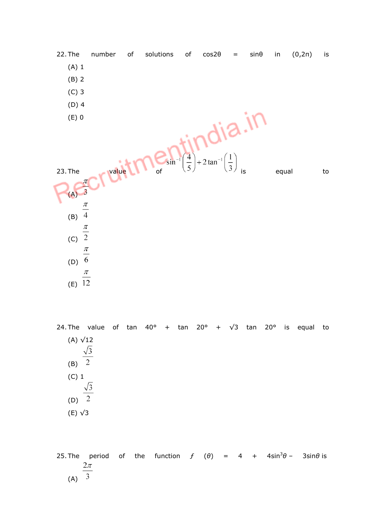

24. The value of tan  $40^{\circ}$  + tan  $20^{\circ}$  +  $\sqrt{3}$  tan  $20^{\circ}$  is equal to (A) √12  $\sqrt{3}$  $(B)$ <sup>2</sup> (C) 1  $\sqrt{3}$  $(D)$ <sup>2</sup> (E) √3

25. The period of the function  $f(\theta) = 4 + 4\sin^3\theta - 3\sin\theta$  is  $2\pi$  $(A)$  3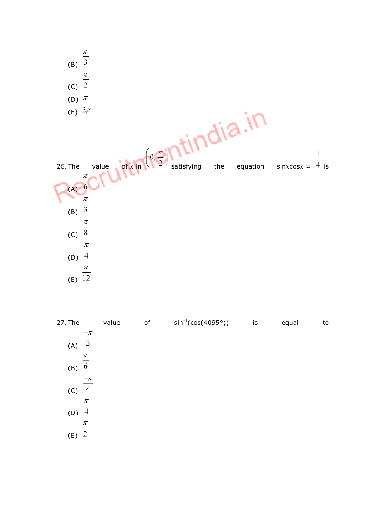

| 27. The               | value | of | $sin^{-1}(cos(4095°))$ | is | equal | to |
|-----------------------|-------|----|------------------------|----|-------|----|
| $-\pi$                |       |    |                        |    |       |    |
| $\overline{3}$<br>(A) |       |    |                        |    |       |    |
| $\pi$                 |       |    |                        |    |       |    |
| 6<br>(B)              |       |    |                        |    |       |    |
| $-\pi$                |       |    |                        |    |       |    |
| 4<br>(C)              |       |    |                        |    |       |    |
| π                     |       |    |                        |    |       |    |
| $\overline{4}$<br>(D) |       |    |                        |    |       |    |
| π                     |       |    |                        |    |       |    |
| $\overline{2}$<br>(E) |       |    |                        |    |       |    |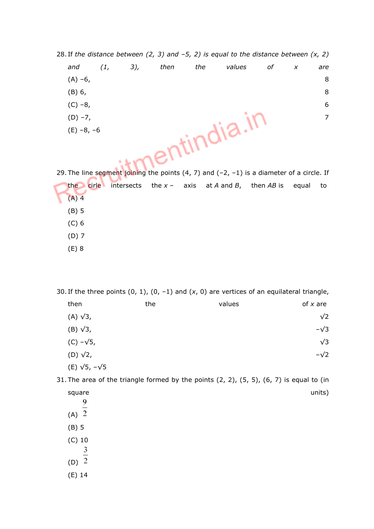28. If the distance between (2, 3) and  $-5$ , 2) is equal to the distance between (x, 2) and (1, 3), then the values of x are (A) –6, 8 (B) 6, 8 (C) –8, 6 (D) –7, 200  $\sim$  7 (E) –8, –6

29. The line segment joining the points  $(4, 7)$  and  $(-2, -1)$  is a diameter of a circle. If the cirle intersects the  $x - a$ xis at A and B, then AB is equal to  $(A)$  4 (B) 5 (C) 6 (D) 7 (E) 8

30. If the three points  $(0, 1)$ ,  $(0, -1)$  and  $(x, 0)$  are vertices of an equilateral triangle, then the the values  $\mathsf{v}$  values of x are (A) √3,  $\sqrt{2}$ (B) √3,  $-√3$  $\sqrt{3}$ , √3  $($ D) √2, –√2 (E) √5, –√5

31. The area of the triangle formed by the points  $(2, 2)$ ,  $(5, 5)$ ,  $(6, 7)$  is equal to (in  $square$  units) and units) and units  $S$ 9

- $(A)$ <sup> $\overline{2}$ </sup>
- (B) 5
- (C) 10 3
- (D)  $\overline{2}$
- 
- (E) 14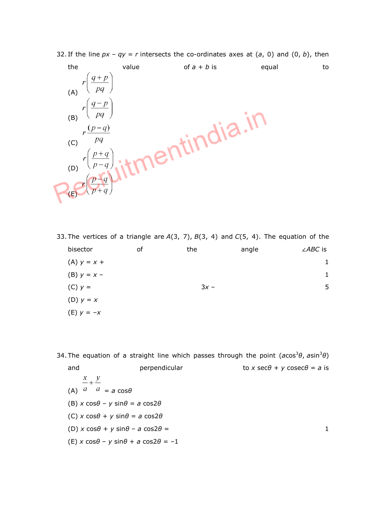

32. If the line  $px - qy = r$  intersects the co-ordinates axes at (a, 0) and (0, b), then

33. The vertices of a triangle are  $A(3, 7)$ ,  $B(3, 4)$  and  $C(5, 4)$ . The equation of the bisector of the angle ∠*ABC* is (A)  $y = x + 1$ (B)  $y = x - 1$ (C)  $y = 3x - 5$ (D)  $y = x$ (E)  $y = -x$ 

34. The equation of a straight line which passes through the point ( $a\cos^3\theta$ ,  $a\sin^3\theta$ ) and perpendicular to x sec $\theta$  + y cosec $\theta$  = a is  $\frac{x}{-}$   $\frac{y}{-}$ (A)  $a \mid a = a \cos \theta$ 

- (B)  $x \cos\theta y \sin\theta = a \cos 2\theta$
- (C)  $x \cos\theta + y \sin\theta = a \cos 2\theta$
- (D)  $x \cos\theta + y \sin\theta a \cos2\theta = 1$
- (E) x cos $\theta$  y sin $\theta$  + a cos2 $\theta$  = -1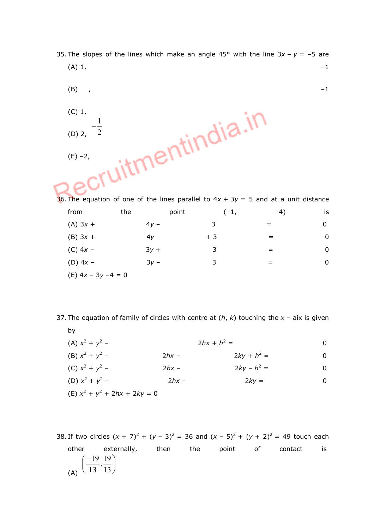- 35. The slopes of the lines which make an angle 45° with the line  $3x y = -5$  are
	- (A) 1,  $-1$ (B) ,  $-1$
	- uitmentindia.in (C) 1, 1  $\overline{2}$ (D) 2,  $(E) -2$ ,

36. The equation of one of the lines parallel to  $4x + 3y = 5$  and at a unit distance from the point  $(-1,$   $-4)$  is (A)  $3x + 4y - 3 = 0$ (B)  $3x + 4y + 3 = 0$ (C)  $4x - 3y + 3 = 0$ (D)  $4x - 3y - 3 = 0$ (E)  $4x - 3y - 4 = 0$ 

37. The equation of family of circles with centre at  $(h, k)$  touching the  $x - a$ ix is given by

- $(A) x<sup>2</sup> + y<sup>2</sup>$ –  $2hx + h^2$  $=$  0
- (B)  $x^2 + y^2$ – 2hx – 2hx – 2ky +  $h^2$  $=$  0
- $(C) x<sup>2</sup> + y<sup>2</sup>$  $-$  2hx – 2ky –  $h^2 = 0$
- (D)  $x^2 + y^2$ – 2hx – 2hx – 2ky = 0
- $(E)$   $x^2 + y^2 + 2hx + 2ky = 0$
- 38. If two circles  $(x + 7)^2 + (y 3)^2 = 36$  and  $(x 5)^2 + (y + 2)^2 = 49$  touch each other externally, then the point of contact is (A)  $\left(\frac{-19}{13}, \frac{19}{13}\right)$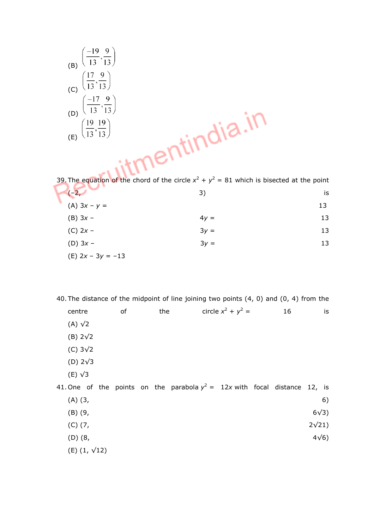(B) 
$$
\left(\frac{-19}{13}, \frac{9}{13}\right)
$$
  
\n(C)  $\left(\frac{17}{13}, \frac{9}{13}\right)$   
\n(D)  $\left(\frac{-17}{13}, \frac{9}{13}\right)$   
\n(E)  $\left(\frac{19}{13}, \frac{19}{13}\right)$ 

39. The equation of the chord of the circle  $x^2 + y^2 = 81$  which is bisected at the point  $x^2 + y^2$  $(-2, 3)$  is (A)  $3x - y = 13$ (B)  $3x - 4y = 13$ (C)  $2x - 3y = 13$ (D)  $3x - 3y = 13$ (E) 2x – 3y = –13

40. The distance of the midpoint of line joining two points (4, 0) and (0, 4) from the

| centre                  | of | the |                                                                              | circle $x^2 + y^2 =$ | 16 |              | is          |
|-------------------------|----|-----|------------------------------------------------------------------------------|----------------------|----|--------------|-------------|
| $(A)$ $\sqrt{2}$        |    |     |                                                                              |                      |    |              |             |
| $(B)$ 2 $\sqrt{2}$      |    |     |                                                                              |                      |    |              |             |
| $(C)$ 3 $\sqrt{2}$      |    |     |                                                                              |                      |    |              |             |
| (D) $2\sqrt{3}$         |    |     |                                                                              |                      |    |              |             |
| $(E)$ $\sqrt{3}$        |    |     |                                                                              |                      |    |              |             |
|                         |    |     | 41. One of the points on the parabola $y^2 = 12x$ with focal distance 12, is |                      |    |              |             |
| $(A)$ $(3, 1)$          |    |     |                                                                              |                      |    |              | 6)          |
| $(B)$ $(9, 9)$          |    |     |                                                                              |                      |    | $6\sqrt{3}$  |             |
| $(C)$ $(7, 7)$          |    |     |                                                                              |                      |    | $2\sqrt{21}$ |             |
| $(D)$ $(8, $            |    |     |                                                                              |                      |    |              | $4\sqrt{6}$ |
| $(E)$ (1, $\sqrt{12}$ ) |    |     |                                                                              |                      |    |              |             |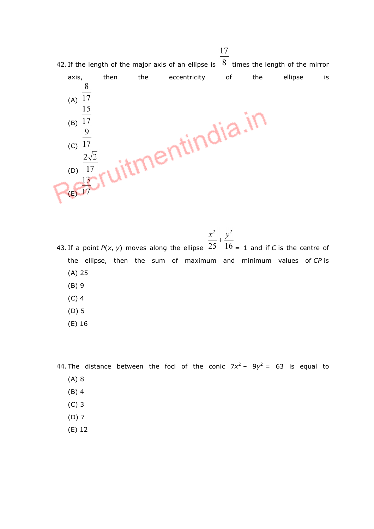

 $\frac{x^2}{2} + \frac{y^2}{2}$ 43. If a point  $P(x, y)$  moves along the ellipse  $25 \times 16 = 1$  and if C is the centre of the ellipse, then the sum of maximum and minimum values of CP is (A) 25

- (B) 9
- (C) 4
- (D) 5
- (E) 16

44. The distance between the foci of the conic  $7x^2 - 9y^2 = 63$  is equal to

- (A) 8
- (B) 4
- (C) 3
- (D) 7
- (E) 12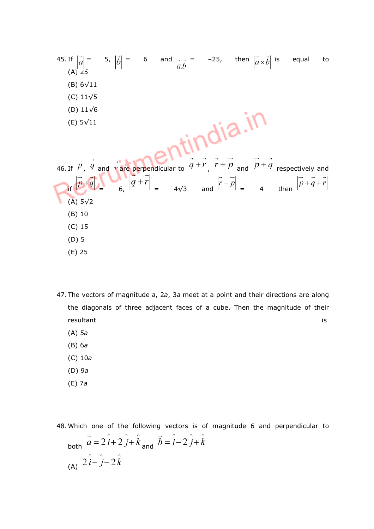| 45. If $ \vec{a}  = 5$ , $ \vec{b}  = 6$ and $\vec{a} \cdot \vec{b} = -25$ , then $ \vec{a} \times \vec{b} $ is equal |  |  |           | to                                                                                                                                                   |
|-----------------------------------------------------------------------------------------------------------------------|--|--|-----------|------------------------------------------------------------------------------------------------------------------------------------------------------|
| $(A)$ 25                                                                                                              |  |  |           |                                                                                                                                                      |
| $(B)$ 6 $\sqrt{11}$                                                                                                   |  |  |           |                                                                                                                                                      |
| (C) $11\sqrt{5}$                                                                                                      |  |  |           |                                                                                                                                                      |
| (D) $11\sqrt{6}$                                                                                                      |  |  |           |                                                                                                                                                      |
| $(E) 5\sqrt{11}$                                                                                                      |  |  |           |                                                                                                                                                      |
|                                                                                                                       |  |  |           |                                                                                                                                                      |
|                                                                                                                       |  |  | tindia.in |                                                                                                                                                      |
|                                                                                                                       |  |  |           |                                                                                                                                                      |
|                                                                                                                       |  |  |           | 46. If $\vec{p}$ , $\vec{q}$ and $\vec{r}$ are perpendicular to $\vec{q} + \vec{r}$ , $\vec{r} + \vec{p}$ and $\vec{p} + \vec{q}$ respectively and   |
|                                                                                                                       |  |  |           | If $ \vec{p}+\vec{q}  = \begin{bmatrix} \vec{q}+\vec{r} \\ 6 \end{bmatrix} = 4\sqrt{3}$ and $ \vec{r}+\vec{p}  = 4$ then $ \vec{p}+\vec{q}+\vec{r} $ |
| $(A)$ 5 $\sqrt{2}$                                                                                                    |  |  |           |                                                                                                                                                      |
| $(B)$ 10                                                                                                              |  |  |           |                                                                                                                                                      |
| $(C)$ 15                                                                                                              |  |  |           |                                                                                                                                                      |
| $(D)$ 5                                                                                                               |  |  |           |                                                                                                                                                      |
| $(E)$ 25                                                                                                              |  |  |           |                                                                                                                                                      |

- 47. The vectors of magnitude a, 2a, 3a meet at a point and their directions are along the diagonals of three adjacent faces of a cube. Then the magnitude of their resultant is a state of the state of the state of the state of the state of the state of the state of the state of the state of the state of the state of the state of the state of the state of the state of the state of the
	- (A) 5a
	- (B) 6a
	- (C) 10a
	- (D) 9a
	- (E) 7a

48. Which one of the following vectors is of magnitude 6 and perpendicular to both  $\vec{a} = 2\hat{i} + 2\hat{j} + \hat{k}$  and  $\vec{b} = \hat{i} - 2\hat{j} + \hat{k}$ (A)  $2\hat{i} - \hat{j} - 2\hat{k}$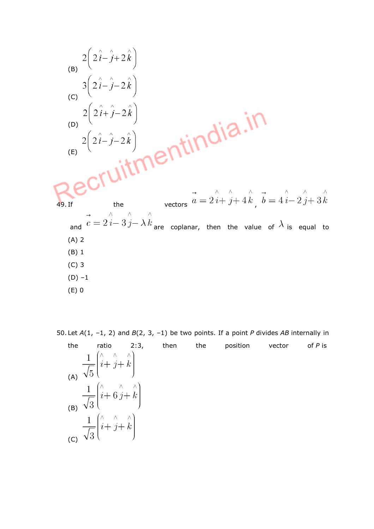

50. Let  $A(1, -1, 2)$  and  $B(2, 3, -1)$  be two points. If a point P divides AB internally in

the ratio 2:3, then the position vector of $P$  is (A) (B)  $\frac{1}{\sqrt{3}}\left(\hat{i} + 6\hat{j} + \hat{k}\right)$ (c)  $\frac{1}{\sqrt{3}} \left( \hat{i} + \hat{j} + \hat{k} \right)$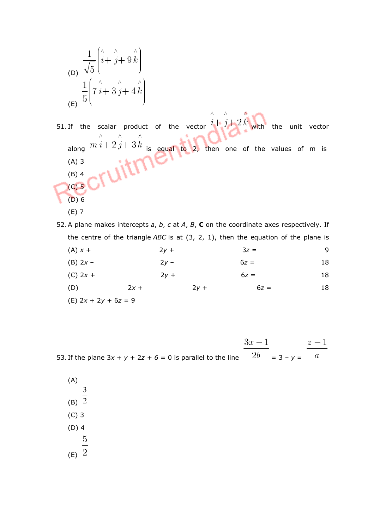$$
\frac{1}{\sqrt{5}} \left( \hat{i} + \hat{j} + 9 \hat{k} \right)
$$
\n
$$
\frac{1}{5} \left( 7 \hat{i} + 3 \hat{j} + 4 \hat{k} \right)
$$
\n
$$
\left( \text{E} \right)^{1/2}
$$

51. If the scalar product of the vector  $\hat{i} + \hat{j} + 2\hat{k}$  with the unit vector along  $m i+2j+3k$  is equal to 2, then one of the values of m is (A) 3 (B) 4 (C) 5 (D) 6 (E) 7

52. A plane makes intercepts  $a$ ,  $b$ ,  $c$  at  $A$ ,  $B$ ,  $C$  on the coordinate axes respectively. If the centre of the triangle ABC is at  $(3, 2, 1)$ , then the equation of the plane is

| $(A) x +$  | $2y +$ | $3z =$ | 9  |
|------------|--------|--------|----|
| $(B)$ 2x – | $2y -$ | $6z =$ | 18 |
| $(C)$ 2x + | $2y +$ | $6z =$ | 18 |

(D)  $2x + 2y + 6z = 18$ (E) 2x + 2y + 6z = 9

53. If the plane  $3x + y + 2z + 6 = 0$  is parallel to the line  $\frac{3x - 1}{2b} = 3 - y = \frac{z - 1}{a}$ 

(A)  $\overline{3}$  $(B)$ <sup> $\overline{2}$ </sup> (C) 3 (D) 4  $\overline{5}$  $(E)$ <sup>2</sup>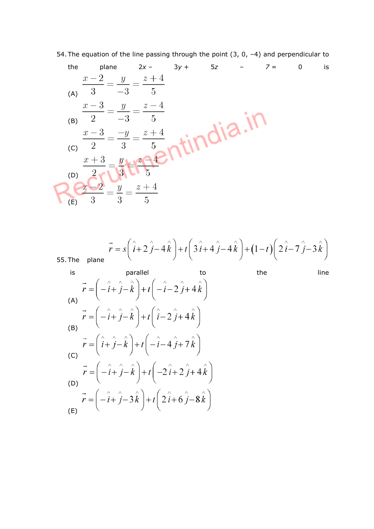54. The equation of the line passing through the point  $(3, 0, -4)$  and perpendicular to

the plane 
$$
2x - 3y + 5z - 7 = 0
$$
 is  
\n
$$
\frac{x-2}{(A)} = \frac{y}{-3} = \frac{z+4}{5}
$$
\n(B) 
$$
\frac{x-3}{2} = \frac{y}{-3} = \frac{z-4}{5}
$$
\n(C) 
$$
\frac{x+3}{2} = \frac{y}{3} = \frac{z+4}{5}
$$
\n(D) 
$$
\frac{x+3}{2} = \frac{y}{3} = \frac{z+4}{5}
$$

55. The plane 
$$
\vec{r} = s\left(\hat{i} + 2\hat{j} - 4\hat{k}\right) + t\left(3\hat{i} + 4\hat{j} - 4\hat{k}\right) + (1 - t)\left(2\hat{i} - 7\hat{j} - 3\hat{k}\right)
$$

is parallel to the line  
\n
$$
\vec{r} = \left(-\hat{i} + \hat{j} - \hat{k}\right) + t\left(-\hat{i} - 2\hat{j} + 4\hat{k}\right)
$$
\n(A)  
\n
$$
\vec{r} = \left(-\hat{i} + \hat{j} - \hat{k}\right) + t\left(\hat{i} - 2\hat{j} + 4\hat{k}\right)
$$
\n(B)  
\n
$$
\vec{r} = \left(\hat{i} + \hat{j} - \hat{k}\right) + t\left(-\hat{i} - 4\hat{j} + 7\hat{k}\right)
$$
\n(C)  
\n
$$
\vec{r} = \left(-\hat{i} + \hat{j} - \hat{k}\right) + t\left(-2\hat{i} + 2\hat{j} + 4\hat{k}\right)
$$
\n(D)  
\n
$$
\vec{r} = \left(-\hat{i} + \hat{j} - 3\hat{k}\right) + t\left(2\hat{i} + 6\hat{j} - 8\hat{k}\right)
$$
\n(E)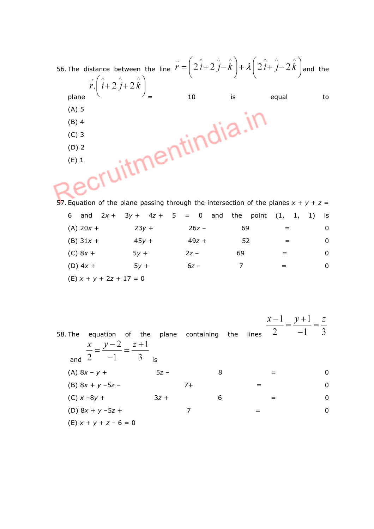|         |                                                      |    |    | 56. The distance between the line $\vec{r} = \left(2\hat{i} + 2\hat{j} - \hat{k}\right) + \lambda\left(2\hat{i} + \hat{j} - 2\hat{k}\right)$ and the |    |
|---------|------------------------------------------------------|----|----|------------------------------------------------------------------------------------------------------------------------------------------------------|----|
|         | $\vec{r}$ . $\left(\hat{i}+2\hat{j}+2\hat{k}\right)$ |    |    |                                                                                                                                                      |    |
| plane   |                                                      | 10 | is | equal                                                                                                                                                | to |
| $(A)$ 5 |                                                      |    |    |                                                                                                                                                      |    |
| $(B)$ 4 |                                                      |    |    |                                                                                                                                                      |    |
| $(C)$ 3 |                                                      |    |    |                                                                                                                                                      |    |
| $(D)$ 2 |                                                      |    |    |                                                                                                                                                      |    |
| $(E)$ 1 |                                                      |    |    |                                                                                                                                                      |    |
|         |                                                      |    |    |                                                                                                                                                      |    |
|         |                                                      |    |    |                                                                                                                                                      |    |

57. Equation of the plane passing through the intersection of the planes  $x + y + z =$ 6 and  $2x + 3y + 4z + 5 = 0$  and the point  $(1, 1, 1)$  is  $(A) 20x + 23y + 26z - 69 = 0$ (B)  $31x + 45y + 49z + 52 = 0$  $(C) 8x + 5y + 2z - 69 = 0$  $(D) 4x + 5y + 6z - 7 = 0$ 

 $(E) x + y + 2z + 17 = 0$ 

58. The equation of the plane containing the lines  $\frac{x-1}{2} = \frac{y+1}{-1} = \frac{z}{3}$  $rac{x}{2} = \frac{y-2}{-1} = \frac{z+1}{3}$  is (A)  $8x - y + 5z - 8 = 0$ (B)  $8x + y - 5z - 7 + = 0$  $(C) x - 8y + 3z + 6 = 0$  $(D) 8x + y - 5z + 7 = 0$ (E)  $x + y + z - 6 = 0$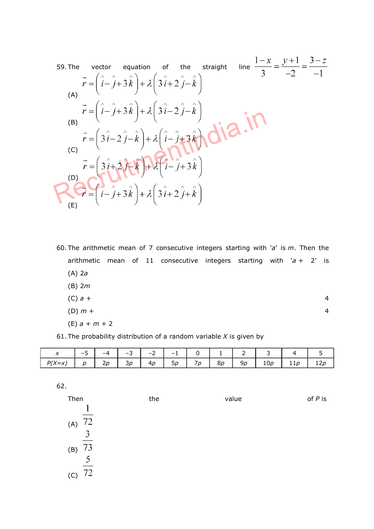59. The vector equation of the straight line 
$$
\frac{1-x}{3} = \frac{y+1}{-2} = \frac{3-z}{-1}
$$
  
\n
$$
\vec{r} = (\hat{i} - \hat{j} + 3\hat{k}) + \lambda (3\hat{i} + 2\hat{j} - \hat{k})
$$
\n(A)  
\n
$$
\vec{r} = (\hat{i} - \hat{j} + 3\hat{k}) + \lambda (3\hat{i} - 2\hat{j} - \hat{k})
$$
\n(B)  
\n
$$
\vec{r} = (3\hat{i} - 2\hat{j} - \hat{k}) + \lambda (\hat{i} - \hat{j} + 3\hat{k})
$$
\n(C)  
\n
$$
\vec{r} = (3\hat{i} + 2\hat{j} - \hat{k}) + \lambda (\hat{i} - \hat{j} + 3\hat{k})
$$
\n(D)  
\n
$$
\vec{r} = (\hat{i} - \hat{j} + 3\hat{k}) + \lambda (3\hat{i} + 2\hat{j} + \hat{k})
$$
\n(E)

60. The arithmetic mean of 7 consecutive integers starting with 'a' is  $m$ . Then the arithmetic mean of 11 consecutive integers starting with  $a + 2'$  is  $(A)$  2a  $(R)$  2m

| יייז נש         |   |
|-----------------|---|
| (C) $a +$       | 4 |
| $(D)$ $m +$     | 4 |
| $(E) a + m + 2$ |   |

61. The probability distribution of a random variable  $X$  is given by

| $\mathbf{x}$ | $-5$ |  |  |  | $-3$ $-2$ $-1$ $0$ $1$ $1$ $2$ $1$ $3$ |  |
|--------------|------|--|--|--|----------------------------------------|--|
|              |      |  |  |  |                                        |  |

62.

| Then                   | the | value | of $P$ is |
|------------------------|-----|-------|-----------|
|                        |     |       |           |
| 72                     |     |       |           |
| $(A)$ 3                |     |       |           |
| 73<br>(B)              |     |       |           |
| 5                      |     |       |           |
| $\overline{72}$<br>(C) |     |       |           |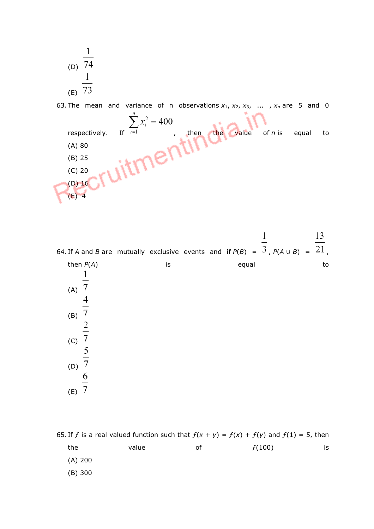(D) 
$$
\frac{1}{74}
$$
  
(E)  $\frac{1}{73}$ 

63. The mean and variance of n observations  $x_1$ ,  $x_2$ ,  $x_3$ , ...,  $x_n$  are 5 and 0



13  $\mathbf{1}$ 64. If A and B are mutually exclusive events and if  $P(B) = \overline{3}$ ,  $P(A \cup B) = \overline{21}$ , then  $P(A)$  is equal to  $\mathbf{1}$  $(A)$  7  $\overline{4}$  $\frac{1}{7}$   $\frac{2}{7}$   $\frac{5}{7}$ (B) (C) (D) 6  $(E)$  7

65. If *f* is a real valued function such that  $f(x + y) = f(x) + f(y)$  and  $f(1) = 5$ , then the  $\qquad \qquad$  value  $\qquad \qquad$  of  $\qquad \qquad f(100) \qquad \qquad$  is (A) 200 (B) 300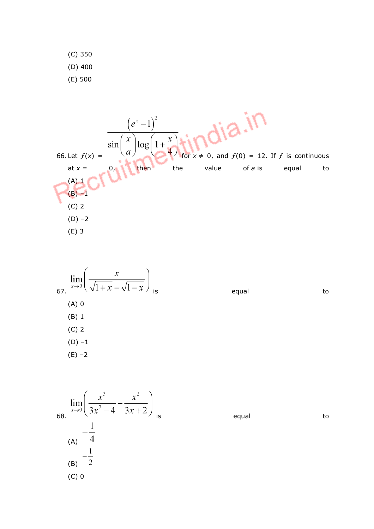(C) 350 (D) 400 (E) 500



67. 
$$
\lim_{x \to 0} \left( \frac{x}{\sqrt{1 + x} - \sqrt{1 - x}} \right)
$$
  
\n(A) 0  
\n(B) 1  
\n(C) 2  
\n(D) -1  
\n(E) -2

$$
\lim_{x \to 0} \left( \frac{x^3}{3x^2 - 4} - \frac{x^2}{3x + 2} \right)_{\text{is}} \qquad \text{equal} \qquad \text{to}
$$
\n
$$
-\frac{1}{4}
$$
\n
$$
\frac{1}{(B)} - \frac{1}{2}
$$
\n
$$
(C) 0
$$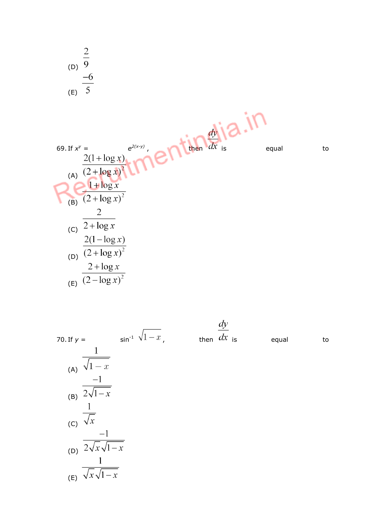

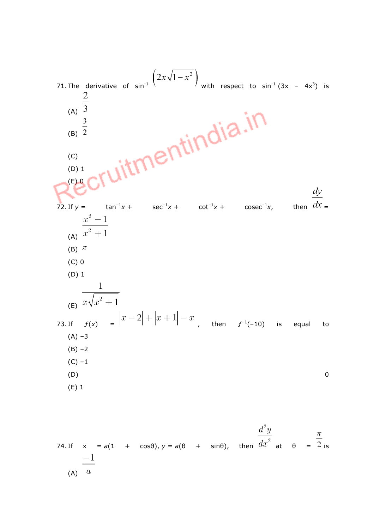

 $(A)$  a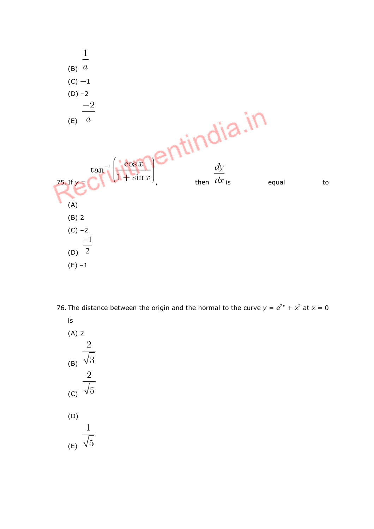

76. The distance between the origin and the normal to the curve  $y = e^{2x} + x^2$  at  $x = 0$ 



(E)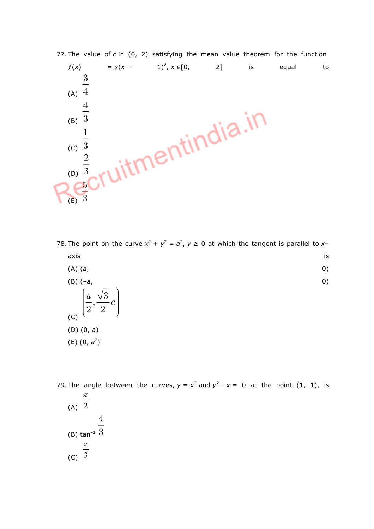

78. The point on the curve  $x^2 + y^2 = a^2$ ,  $y \ge 0$  at which the tangent is parallel to xaxis is a state of the contract of the contract of the contract of the contract of the contract of the contract of the contract of the contract of the contract of the contract of the contract of the contract of the contrac

| (A) ( <i>a</i> , |     |
|------------------|-----|
| $(B)$ $(-a,$     | (0) |

$$
\begin{pmatrix} a, \sqrt{3} \\ \frac{a}{2}, \frac{\sqrt{3}}{2} a \end{pmatrix}
$$
  
(C) (D) (0, a)  
(E) (0, a<sup>2</sup>)

79. The angle between the curves,  $y = x^2$  and  $y^2 - x = 0$  at the point (1, 1), is

(A) 
$$
\frac{\pi}{2}
$$
  
\n(B)  $\tan^{-1} \frac{4}{3}$   
\n(C)  $\frac{\pi}{3}$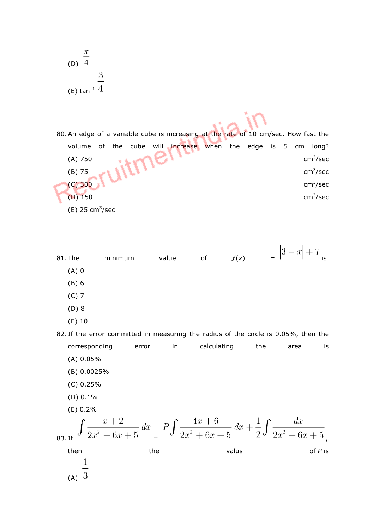| (b)                                                                                                                                              | $\frac{\pi}{4}$      |
|--------------------------------------------------------------------------------------------------------------------------------------------------|----------------------|
| (c)                                                                                                                                              | 3                    |
| 80. An edge of a variable cube is increasing at the rate of 10 cm/sec. How fast the volume of the cube will increase when the edge is 5 cm long? |                      |
| (A) 750                                                                                                                                          | cm <sup>3</sup> /sec |
| (B) 75                                                                                                                                           | cm <sup>3</sup> /sec |
| (C) 300                                                                                                                                          | cm <sup>3</sup> /sec |
| (D) 150                                                                                                                                          | cm <sup>3</sup> /sec |
| (E) 25 cm <sup>3</sup> /sec                                                                                                                      |                      |
| 81. The minimum value of $f(x) = \left 3 - x\right  + 7$ is                                                                                      |                      |
| (A) 0                                                                                                                                            | (B) 6                |
| (C) 7                                                                                                                                            | (D) 8                |

(E) 10

82. If the error committed in measuring the radius of the circle is 0.05%, then the corresponding error in calculating the area is (A) 0.05% (B) 0.0025% (C) 0.25% (D) 0.1% (E) 0.2% 83. If  $\int \frac{x+2}{2x^2+6x+5} dx = P \int \frac{4x+6}{2x^2+6x+5} dx + \frac{1}{2} \int \frac{dx}{2x^2+6x+5}$ 

then the the valus  $\mathsf{v}$  value  $\mathsf{v}$  of P is  $\frac{1}{3}$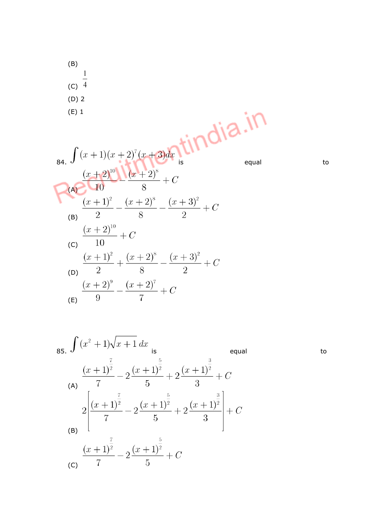(B)  
\n(C) 
$$
\frac{1}{4}
$$
  
\n(D) 2  
\n(E) 1  
\n84.  $\int (x+1)(x+2)^7(x+3)dx$  is equal to  
\n  
\n(A)  $\frac{(x+2)^{10}}{10} \cdot \frac{(x+2)^8}{8} + C$   
\n(B)  $\frac{(x+1)^2}{2} - \frac{(x+2)^8}{8} - \frac{(x+3)^2}{2} + C$   
\n(C)  $\frac{(x+2)^{10}}{10} + C$   
\n(C)  $\frac{(x+1)^2}{2} + \frac{(x+2)^8}{8} - \frac{(x+3)^2}{2} + C$   
\n(E)  $\frac{(x+2)^0}{9} - \frac{(x+2)^7}{7} + C$ 

85. 
$$
\int (x^{2} + 1)\sqrt{x+1} dx
$$
  
\n(a) 
$$
\frac{(x+1)^{\frac{7}{2}}}{7} - 2\frac{(x+1)^{\frac{5}{2}}}{5} + 2\frac{(x+1)^{\frac{3}{2}}}{3} + C
$$
  
\n(b) 
$$
2\left[\frac{(x+1)^{\frac{7}{2}}}{7} - 2\frac{(x+1)^{\frac{5}{2}}}{5} + 2\frac{(x+1)^{\frac{3}{2}}}{3}\right] + C
$$
  
\n(b) 
$$
\frac{(x+1)^{\frac{7}{2}}}{7} - 2\frac{(x+1)^{\frac{5}{2}}}{5} + C
$$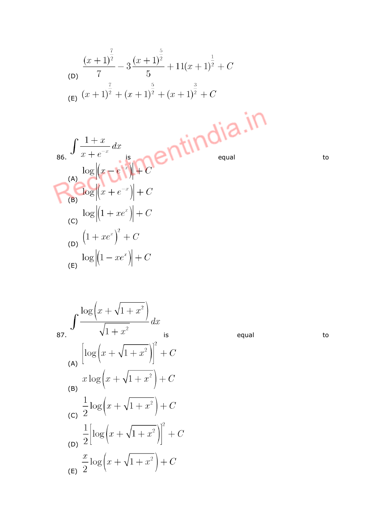(D)
$$
\frac{(x+1)^{\frac{7}{2}}}{7} - 3\frac{(x+1)^{\frac{5}{2}}}{5} + 11(x+1)^{\frac{1}{2}} + C
$$
  
(E)
$$
\frac{(x+1)^{\frac{7}{2}} + (x+1)^{\frac{5}{2}} + (x+1)^{\frac{3}{2}} + C
$$

86. 
$$
\int \frac{1+x}{x+e^{-x}} dx
$$
  
\n
$$
\log \left| \left( x - e^{-x} \right) \right| + C
$$
  
\n
$$
\log \left| \left( x + e^{-x} \right) \right| + C
$$
  
\n
$$
\log \left| \left( x + e^{-x} \right) \right| + C
$$
  
\n
$$
\log \left| \left( 1 + xe^{x} \right) \right| + C
$$
  
\n
$$
\log \left| \left( 1 - xe^{x} \right) \right| + C
$$
  
\n
$$
\log \left| \left( 1 - xe^{x} \right) \right| + C
$$

 $\int \frac{\log(x + \sqrt{1 + x^2})}{\sqrt{1 + x^2}} dx$  is equal to (A)  $\left[\log\left(x+\sqrt{1+x^2}\right)\right]^2 + C$ (B)  $x \log (x + \sqrt{1 + x^2}) + C$ (c)  $\frac{1}{2} \log (x + \sqrt{1 + x^2}) + C$ (b)  $\frac{1}{2} \left[ \log \left( x + \sqrt{1 + x^2} \right) \right]^2 + C$ (E)  $\frac{x}{2} \log \left( x + \sqrt{1 + x^2} \right) + C$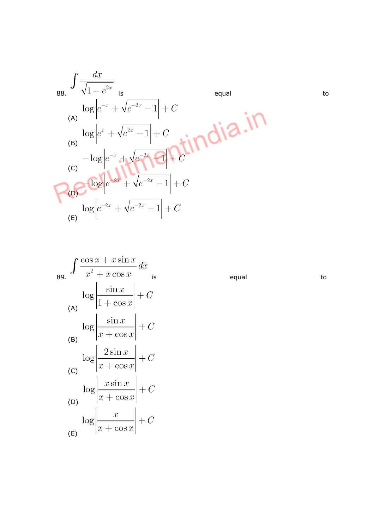88. 
$$
\int \frac{dx}{\sqrt{1 - e^{2x}}}
$$
  
\n
$$
\log |e^{-x} + \sqrt{e^{-2x} - 1}| + C
$$
  
\n(A) 
$$
\log |e^{x} + \sqrt{e^{2x} - 1}| + C
$$
  
\n(B) 
$$
-\log |e^{-x} + \sqrt{e^{-2x} - 1}| + C
$$
  
\n(C) 
$$
\log |e^{-2x} + \sqrt{e^{-2x} - 1}| + C
$$
  
\n(D) 
$$
\log |e^{-2x} + \sqrt{e^{-2x} - 1}| + C
$$
  
\n(E)

89. 
$$
\int \frac{\cos x + x \sin x}{x^2 + x \cos x} dx
$$
  
\n
$$
\log \left| \frac{\sin x}{1 + \cos x} \right| + C
$$
  
\n(A) 
$$
\log \left| \frac{\sin x}{x + \cos x} \right| + C
$$
  
\n(B) 
$$
\log \left| \frac{2 \sin x}{x + \cos x} \right| + C
$$
  
\n(C) 
$$
\log \left| \frac{x \sin x}{x + \cos x} \right| + C
$$
  
\n(D) 
$$
\log \left| \frac{x}{x + \cos x} \right| + C
$$
  
\n(E) 
$$
\left| \frac{x}{x + \cos x} \right| + C
$$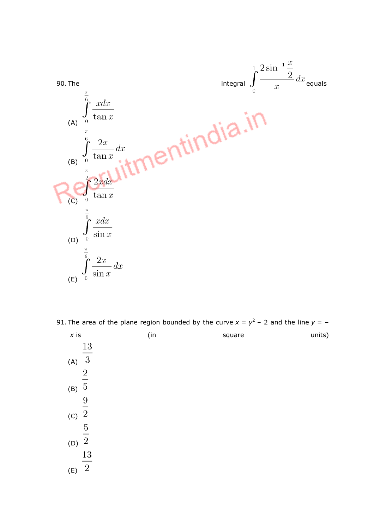

91. The area of the plane region bounded by the curve  $x = y^2 - 2$  and the line  $y = -$ 

| $\boldsymbol{x}$ is   | (in | square | units) |
|-----------------------|-----|--------|--------|
| 13                    |     |        |        |
| -3<br>(A)             |     |        |        |
| $\overline{2}$        |     |        |        |
| (B) $5$               |     |        |        |
| $\frac{9}{1}$         |     |        |        |
| $\overline{2}$<br>(C) |     |        |        |
| $\overline{5}$        |     |        |        |
| $\overline{2}$<br>(D) |     |        |        |
| 13                    |     |        |        |
| <sup>2</sup><br>(E)   |     |        |        |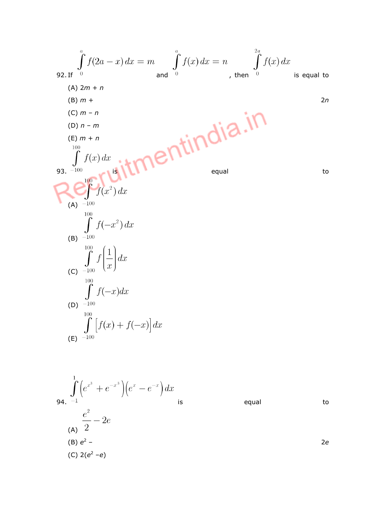92. If 
$$
\int_{0}^{a} f(2a - x) dx = m
$$
 and  $\int_{0}^{a} f(x) dx = n$ , then  $\int_{0}^{2a} f(x) dx$   
\n(A)  $2m + n$   
\n(B)  $m +$   
\n(C)  $m - n$   
\n(D)  $n - m$   
\n(E)  $m + n$   
\n33. -100  
\n54. 100  
\n65. -100  
\n66.  $\int_{100}^{100} f(x) dx$   
\n67.  $f(x^2) dx$   
\n68.  $\int_{-100}^{100} f(-x^2) dx$   
\n69. -100  
\n60.  $\int_{-100}^{100} f(-x^2) dx$   
\n61.  $\int_{-100}^{100} f(-x^2) dx$   
\n62.  $\int_{-100}^{100} f(-x) dx$   
\n63.  $\int_{-100}^{100} f(-x) dx$   
\n64.  $\int_{-100}^{100} f(-x) dx$   
\n65.  $\int_{-100}^{100} f(-x) dx$   
\n66.  $\int_{-100}^{100} f(-x) dx$   
\n67.  $\int_{-100}^{100} f(x) + f(-x) dx$ 

$$
\int_{0}^{1} \left( e^{x^{3}} + e^{-x^{3}} \right) \left( e^{x} - e^{-x} \right) dx
$$
\n94.  $-1$  is equal to  
\n $\frac{e^{2}}{2} - 2e$   
\n(A)  $2$   
\n(B)  $e^{2} -$   
\n(C)  $2(e^{2} - e)$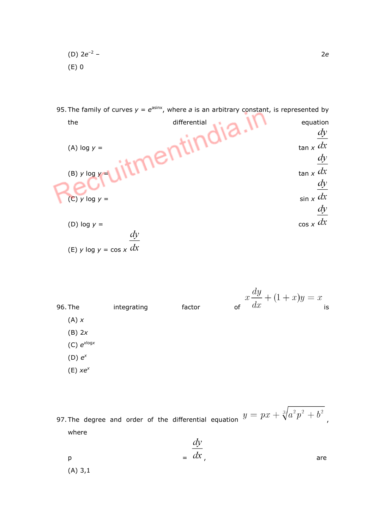(D)  $2e^{-2}$ (E) 0

95. The family of curves  $y = e^{asinx}$ , where a is an arbitrary constant, is represented by the differential equation  $\frac{dy}{x}$ (A) log  $y =$  tan x (B) y log  $y =$  tan x (C) y log y =<br>
(D) log y =<br>
(D) log y =

(D) 
$$
\log y = \cos x \frac{dy}{dx}
$$
   
(E)  $y \log y = \cos x \frac{dx}{dx}$ 

96. The integrating factor  $x \frac{dy}{dx} + (1+x)y = x$  is  $(A)$   $x$ (B) 2x  $(C)$   $e^{x \log x}$  $(D) e^x$  $(E)$   $xe^{x}$ 

97. The degree and order of the differential equation  $y = px + \sqrt[3]{a^2p^2 + b^2}$ where

 $p = u \lambda,$  are (A) 3,1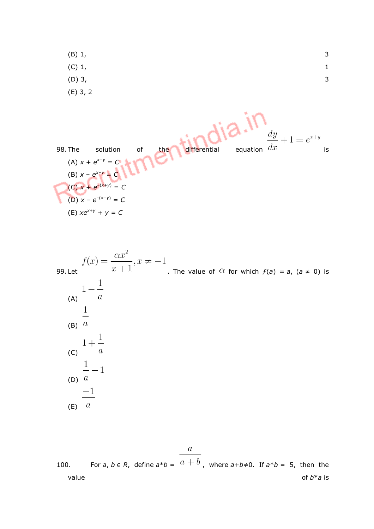(B) 1, 3 (C) 1, 1 (D) 3,  $\frac{3}{2}$ (E) 3, 2

|                     |                                                      |    |     |              |          | $\,dy$ |    |
|---------------------|------------------------------------------------------|----|-----|--------------|----------|--------|----|
| 98. The             | solution                                             | оf | the | differential | equation | dx     | is |
| (B) $x - e^{x+y} =$ | (A) $x + e^{x+y} = C$                                |    |     |              |          |        |    |
|                     | (C) $x + e^{-(x+y)} = C$<br>(D) $x - e^{-(x+y)} = C$ |    |     |              |          |        |    |
|                     | (E) $xe^{x+y} + y = C$                               |    |     |              |          |        |    |

 $f(x) = \frac{\alpha x^2}{x+1}, x \neq -1$ <br>99. Let  $f(x) = \frac{1}{x+1}$ . The value of  $\alpha$  for which  $f(a) = a$ ,  $(a \neq 0)$  is (A)  $1-\frac{1}{a}$  $\frac{1}{a}$ (C)  $1 + \frac{1}{a}$  $\frac{1}{a} - 1$  $\frac{-1}{a}$ 

100. For 
$$
a, b \in R
$$
, define  $a * b = \frac{a}{a+b}$ , where  $a+b\neq 0$ . If  $a * b = 5$ , then the value of  $b * a$  is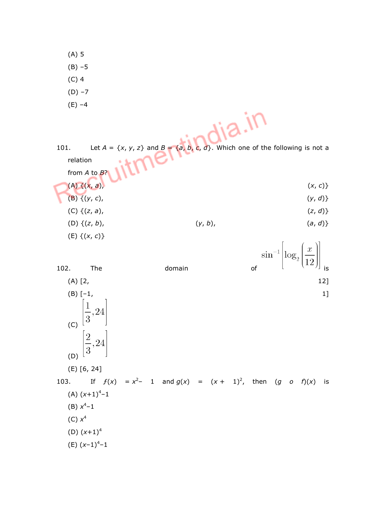(A) 5

 $(B) - 5$ 

- (C) 4
- $(D) -7$
- $(E) -4$

| $\lambda - \lambda$<br>Let $A = \{x, y, z\}$ and $B = \{a, b, c, d\}$ . Which one of the following is not a<br>101.<br>relation<br>from $A$ to $B$ ? |            |
|------------------------------------------------------------------------------------------------------------------------------------------------------|------------|
| $(A) \{ (x, a),$                                                                                                                                     | (x, c)     |
| $(B)$ { $(y, c)$ ,                                                                                                                                   | (y, d)     |
| (C) $\{(z, a),\}$                                                                                                                                    | (z, d)     |
| (D) $\{(z, b),\}$<br>$(y, b)$ ,                                                                                                                      | (a, d)     |
| $(E)$ { $(x, c)$ }                                                                                                                                   | $\sqrt{1}$ |

102. The domain  $\sin^{-1} \left| \log_2 \left( \frac{x}{12} \right) \right|$  is  $(A)$  [2, 12] (B)  $[-1, 1]$ (C) (D)  $\left[\frac{2}{3}, 24\right]$ (E) [6, 24] 103. If  $f(x) = x^2 - 1$  and  $g(x) = (x + 1)^2$ , then  $(g \circ f)(x)$  is  $(A)$   $(x+1)^{4}-1$ (B)  $x^4-1$  $(C) x<sup>4</sup>$ (D)  $(x+1)^4$  $(E)$   $(x-1)^{4}-1$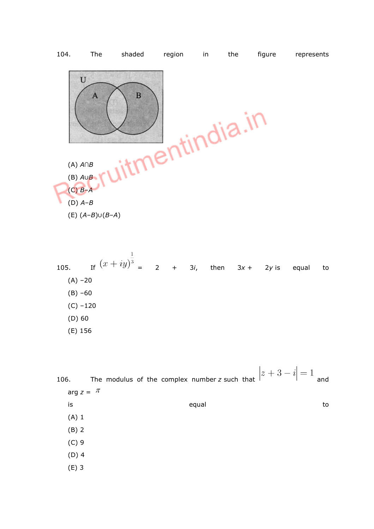

105. If  $(x + iy)^{\frac{1}{3}} = 2 + 3i$ , then  $3x + 2y$  is equal to  $(A) -20$ (B) –60  $(C) -120$ (D) 60 (E) 156

106. The modulus of the complex number z such that  $|z+3-i|=1$  and arg  $z = \pi$ is the contract of the contract of the equal to the contract of the contract of the contract of the contract o (A) 1 (B) 2 (C) 9 (D) 4 (E) 3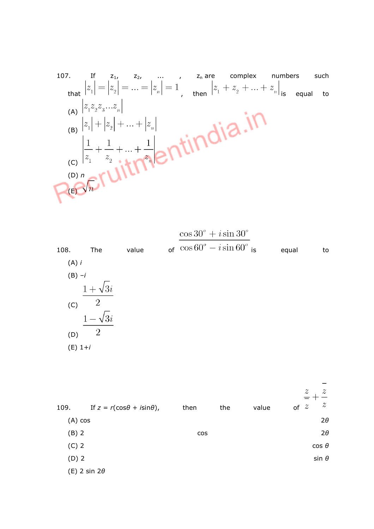107. If 
$$
z_1
$$
,  $z_2$ , ... ,  $z_n$  are complex numbers such  
\nthat  $|z_1| = |z_2| = ... = |z_n| = 1$ , then  $|z_1 + z_2 + ... + z_n|$  is equal to  
\n(A)  $|z_1z_2z_3...z_n|$   
\n(B)  $|z_1| + |z_2| + ... + |z_n|$   
\n(C)  $|z_1 + \frac{1}{z_2} + ... + \frac{1}{z_n}|$ 

| 108.      | The                           | value | $\cos 30^\circ + i \sin 30^\circ$<br>of $\cos 60^\circ - i \sin 60^\circ$ is<br>equal | to |
|-----------|-------------------------------|-------|---------------------------------------------------------------------------------------|----|
| $(A)$ i   |                               |       |                                                                                       |    |
| $(B) -i$  |                               |       |                                                                                       |    |
|           | $1+\sqrt{3}i$                 |       |                                                                                       |    |
| (C)       | $\overline{\phantom{a}}^2$    |       |                                                                                       |    |
|           | $1 - \sqrt{ }$<br>$\sqrt{3}i$ |       |                                                                                       |    |
| (D)       | $\overline{2}$                |       |                                                                                       |    |
| $(E)$ 1+i |                               |       |                                                                                       |    |
|           |                               |       |                                                                                       |    |

|           |                                        |            |     |       | $z \,$<br>$\boldsymbol{z}$<br>$z \,$ |
|-----------|----------------------------------------|------------|-----|-------|--------------------------------------|
| 109.      | If $z = r(\cos\theta + i\sin\theta)$ , | then       | the | value | of $z$                               |
| $(A)$ cos |                                        |            |     |       | $2\theta$                            |
| $(B)$ 2   |                                        | <b>COS</b> |     |       | $2\theta$                            |
| $(C)$ 2   |                                        |            |     |       | $\cos \theta$                        |
| $(D)$ 2   |                                        |            |     |       | $sin \theta$                         |
|           | (E) 2 sin $2\theta$                    |            |     |       |                                      |
|           |                                        |            |     |       |                                      |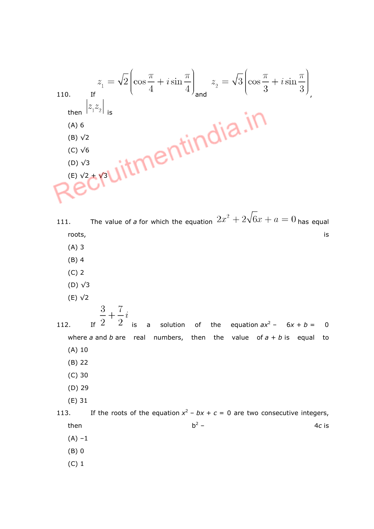110. If  
\nthen 
$$
|z_1z_2|
$$
 is  
\n(A) 6  
\n(B) V2  
\n(C) V6  
\n(D) V3  
\n(E) V2+V3  
\nM

- 111. The value of a for which the equation  $2x^2 + 2\sqrt{6}x + a = 0$  has equal roots, is a set of the contract of the contract of the contract of the contract of the contract of the contract of the contract of the contract of the contract of the contract of the contract of the contract of the contrac
	- (A) 3
	- (B) 4
	- (C) 2
	- (D) √3
	- (E) √2

112. If  $\frac{2}{3}$  is a solution of the equation  $ax^2 - 6x + b = 0$ where a and b are real numbers, then the value of  $a + b$  is equal to (A) 10 (B) 22

- (C) 30
- (D) 29
- (E) 31

113. If the roots of the equation  $x^2 - bx + c = 0$  are two consecutive integers, then  $b^2$  – – 4c is  $(A) -1$ 

(B) 0

(C) 1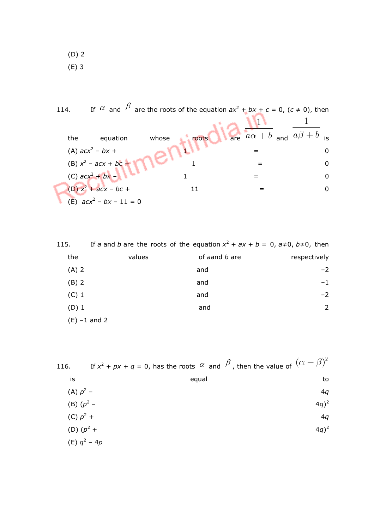(D) 2 (E) 3

114. If  $\alpha$  and  $\beta$  are the roots of the equation  $ax^2 + bx + c = 0$ ,  $(c \ne 0)$ , then the equation whose ringots  $\sqrt{\frac{1}{\text{are}} \frac{1}{a\alpha+b}}$  and  $\frac{1}{a\beta+b}$  is (A)  $acx^2 - bx +$  $-bx +$  0 (B)  $x^2 - acx + bc + 1 = 0$ (C)  $acc^2 + bx - 1 = 0$ (D)  $x^2 + acx - bc + 11 = 0$  $(E)$  acx<sup>2</sup> – bx – 11 = 0

| 115.            |        | If a and b are the roots of the equation $x^2 + ax + b = 0$ , $a \ne 0$ , $b \ne 0$ , then |              |
|-----------------|--------|--------------------------------------------------------------------------------------------|--------------|
| the             | values | of aand b are                                                                              | respectively |
| $(A)$ 2         |        | and                                                                                        | $-2$         |
| $(B)$ 2         |        | and                                                                                        | $-1$         |
| $(C)$ 1         |        | and                                                                                        | $-2$         |
| $(D)$ 1         |        | and                                                                                        | 2            |
| $(E) - 1$ and 2 |        |                                                                                            |              |

| 116.        | If $x^2 + px + q = 0$ , has the roots $\alpha$ and $\beta$ , then the value of $(\alpha - \beta)^2$ |          |
|-------------|-----------------------------------------------------------------------------------------------------|----------|
| is          | equal                                                                                               | to       |
| (A) $p^2$ – |                                                                                                     | 4q       |
|             | (B) $(p^2 -$                                                                                        | $(4q)^2$ |
| (C) $p^2$ + |                                                                                                     | 4q       |
|             | (D) $(p^2 +$                                                                                        | $(4q)^2$ |
|             | (E) $q^2 - 4p$                                                                                      |          |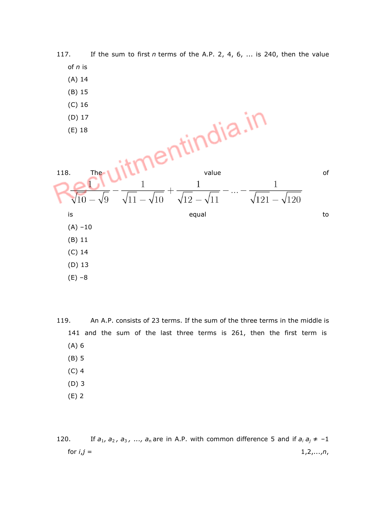

(E) –8

119. An A.P. consists of 23 terms. If the sum of the three terms in the middle is 141 and the sum of the last three terms is 261, then the first term is (A) 6 (B) 5

- (C) 4
- (D) 3
- (E) 2

120. If  $a_1$ ,  $a_2$ ,  $a_3$ , ...,  $a_n$  are in A.P. with common difference 5 and if  $a_i a_j \neq -1$ for  $i,j = 1,2,...,n$ ,